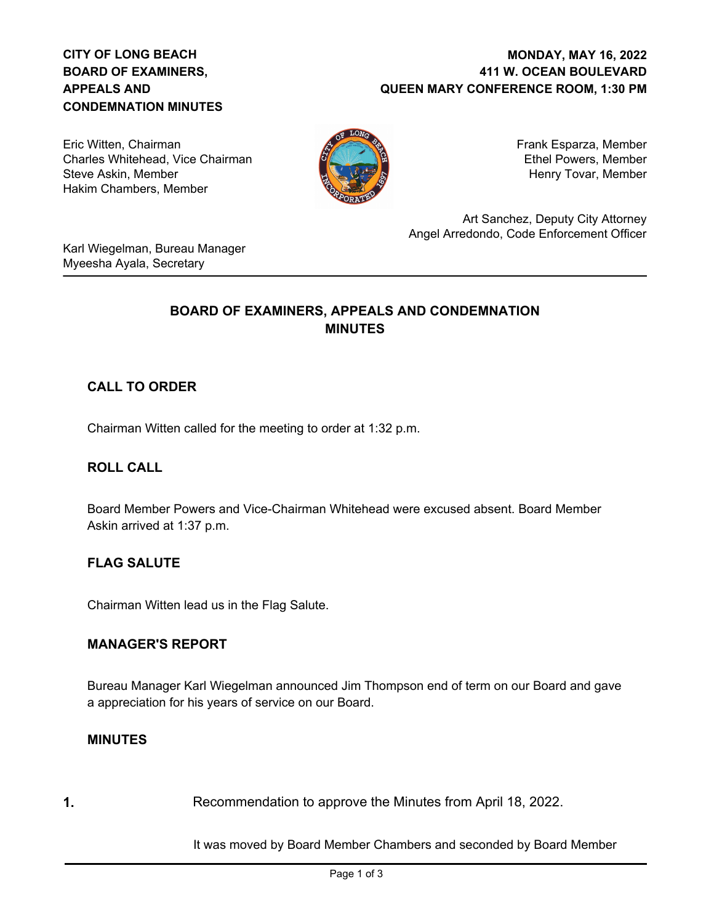# **CITY OF LONG BEACH BOARD OF EXAMINERS, APPEALS AND CONDEMNATION MINUTES**

### **411 W. OCEAN BOULEVARD QUEEN MARY CONFERENCE ROOM, 1:30 PM MONDAY, MAY 16, 2022**

Eric Witten, Chairman Charles Whitehead, Vice Chairman Steve Askin, Member Hakim Chambers, Member



Frank Esparza, Member Ethel Powers, Member Henry Tovar, Member

Art Sanchez, Deputy City Attorney Angel Arredondo, Code Enforcement Officer

Karl Wiegelman, Bureau Manager Myeesha Ayala, Secretary

# **BOARD OF EXAMINERS, APPEALS AND CONDEMNATION MINUTES**

# **CALL TO ORDER**

Chairman Witten called for the meeting to order at 1:32 p.m.

### **ROLL CALL**

Board Member Powers and Vice-Chairman Whitehead were excused absent. Board Member Askin arrived at 1:37 p.m.

### **FLAG SALUTE**

Chairman Witten lead us in the Flag Salute.

### **MANAGER'S REPORT**

Bureau Manager Karl Wiegelman announced Jim Thompson end of term on our Board and gave a appreciation for his years of service on our Board.

### **MINUTES**

**1.** Recommendation to approve the Minutes from April 18, 2022.

It was moved by Board Member Chambers and seconded by Board Member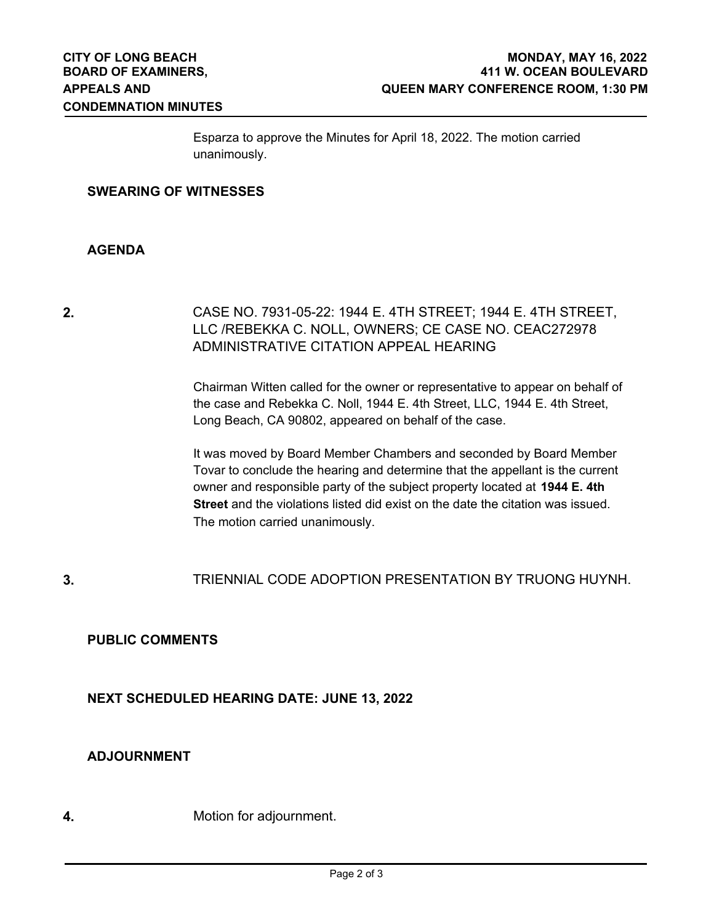Esparza to approve the Minutes for April 18, 2022. The motion carried unanimously.

#### **SWEARING OF WITNESSES**

#### **AGENDA**

# **2.** CASE NO. 7931-05-22: 1944 E. 4TH STREET; 1944 E. 4TH STREET, LLC /REBEKKA C. NOLL, OWNERS; CE CASE NO. CEAC272978 ADMINISTRATIVE CITATION APPEAL HEARING

Chairman Witten called for the owner or representative to appear on behalf of the case and Rebekka C. Noll, 1944 E. 4th Street, LLC, 1944 E. 4th Street, Long Beach, CA 90802, appeared on behalf of the case.

It was moved by Board Member Chambers and seconded by Board Member Tovar to conclude the hearing and determine that the appellant is the current owner and responsible party of the subject property located at **1944 E. 4th Street** and the violations listed did exist on the date the citation was issued. The motion carried unanimously.

### **3.** TRIENNIAL CODE ADOPTION PRESENTATION BY TRUONG HUYNH.

### **PUBLIC COMMENTS**

### **NEXT SCHEDULED HEARING DATE: JUNE 13, 2022**

### **ADJOURNMENT**

**4.** Motion for adjournment.